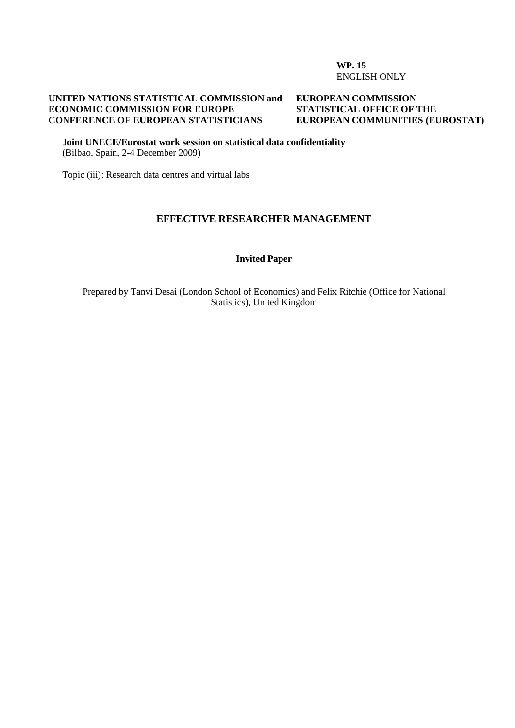#### **WP. 15**  ENGLISH ONLY

#### **UNITED NATIONS STATISTICAL COMMISSION and ECONOMIC COMMISSION FOR EUROPE CONFERENCE OF EUROPEAN STATISTICIANS**

#### **EUROPEAN COMMISSION STATISTICAL OFFICE OF THE EUROPEAN COMMUNITIES (EUROSTAT)**

**Joint UNECE/Eurostat work session on statistical data confidentiality**  (Bilbao, Spain, 2-4 December 2009)

Topic (iii): Research data centres and virtual labs

#### **EFFECTIVE RESEARCHER MANAGEMENT**

#### **Invited Paper**

Prepared by Tanvi Desai (London School of Economics) and Felix Ritchie (Office for National Statistics), United Kingdom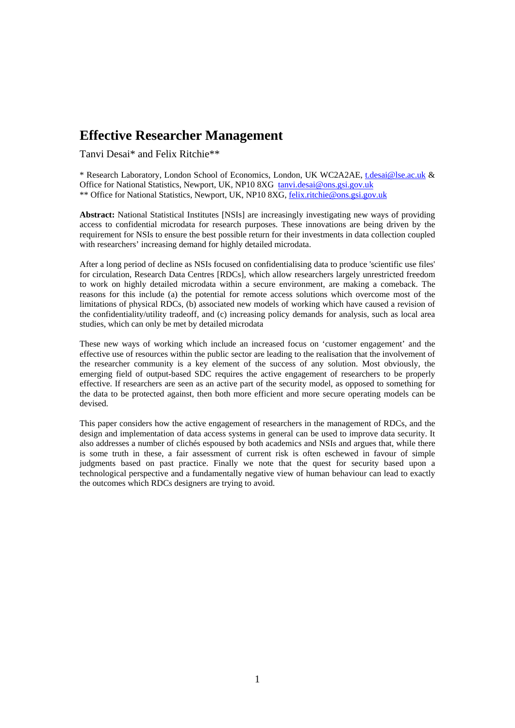# **Effective Researcher Management**

Tanvi Desai\* and Felix Ritchie\*\*

\* Research Laboratory, London School of Economics, London, UK WC2A2AE, [t.desai@lse.ac.uk](mailto:t.desai@lse.ac.uk) & Office for National Statistics, Newport, UK, NP10 8XG [tanvi.desai@ons.gsi.gov.uk](mailto:tanvi.desai@ons.gov.uk) \*\* Office for National Statistics, Newport, UK, NP10 8XG, [felix.ritchie@ons.gsi.gov.uk](mailto:felix.ritchie@ons.gsi.gov.uk)

**Abstract:** National Statistical Institutes [NSIs] are increasingly investigating new ways of providing access to confidential microdata for research purposes. These innovations are being driven by the requirement for NSIs to ensure the best possible return for their investments in data collection coupled with researchers' increasing demand for highly detailed microdata.

After a long period of decline as NSIs focused on confidentialising data to produce 'scientific use files' for circulation, Research Data Centres [RDCs], which allow researchers largely unrestricted freedom to work on highly detailed microdata within a secure environment, are making a comeback. The reasons for this include (a) the potential for remote access solutions which overcome most of the limitations of physical RDCs, (b) associated new models of working which have caused a revision of the confidentiality/utility tradeoff, and (c) increasing policy demands for analysis, such as local area studies, which can only be met by detailed microdata

These new ways of working which include an increased focus on 'customer engagement' and the effective use of resources within the public sector are leading to the realisation that the involvement of the researcher community is a key element of the success of any solution. Most obviously, the emerging field of output-based SDC requires the active engagement of researchers to be properly effective. If researchers are seen as an active part of the security model, as opposed to something for the data to be protected against, then both more efficient and more secure operating models can be devised.

This paper considers how the active engagement of researchers in the management of RDCs, and the design and implementation of data access systems in general can be used to improve data security. It also addresses a number of clichés espoused by both academics and NSIs and argues that, while there is some truth in these, a fair assessment of current risk is often eschewed in favour of simple judgments based on past practice. Finally we note that the quest for security based upon a technological perspective and a fundamentally negative view of human behaviour can lead to exactly the outcomes which RDCs designers are trying to avoid.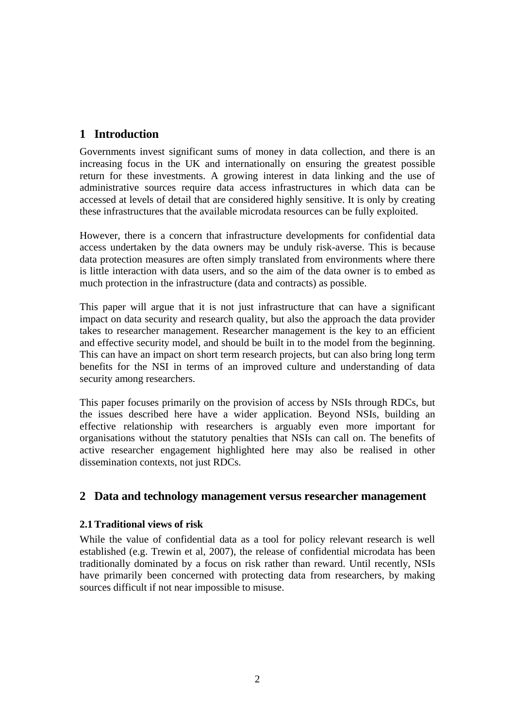# **1 Introduction**

Governments invest significant sums of money in data collection, and there is an increasing focus in the UK and internationally on ensuring the greatest possible return for these investments. A growing interest in data linking and the use of administrative sources require data access infrastructures in which data can be accessed at levels of detail that are considered highly sensitive. It is only by creating these infrastructures that the available microdata resources can be fully exploited.

However, there is a concern that infrastructure developments for confidential data access undertaken by the data owners may be unduly risk-averse. This is because data protection measures are often simply translated from environments where there is little interaction with data users, and so the aim of the data owner is to embed as much protection in the infrastructure (data and contracts) as possible.

This paper will argue that it is not just infrastructure that can have a significant impact on data security and research quality, but also the approach the data provider takes to researcher management. Researcher management is the key to an efficient and effective security model, and should be built in to the model from the beginning. This can have an impact on short term research projects, but can also bring long term benefits for the NSI in terms of an improved culture and understanding of data security among researchers.

This paper focuses primarily on the provision of access by NSIs through RDCs, but the issues described here have a wider application. Beyond NSIs, building an effective relationship with researchers is arguably even more important for organisations without the statutory penalties that NSIs can call on. The benefits of active researcher engagement highlighted here may also be realised in other dissemination contexts, not just RDCs.

# **2 Data and technology management versus researcher management**

### **2.1Traditional views of risk**

While the value of confidential data as a tool for policy relevant research is well established (e.g. Trewin et al, 2007), the release of confidential microdata has been traditionally dominated by a focus on risk rather than reward. Until recently, NSIs have primarily been concerned with protecting data from researchers, by making sources difficult if not near impossible to misuse.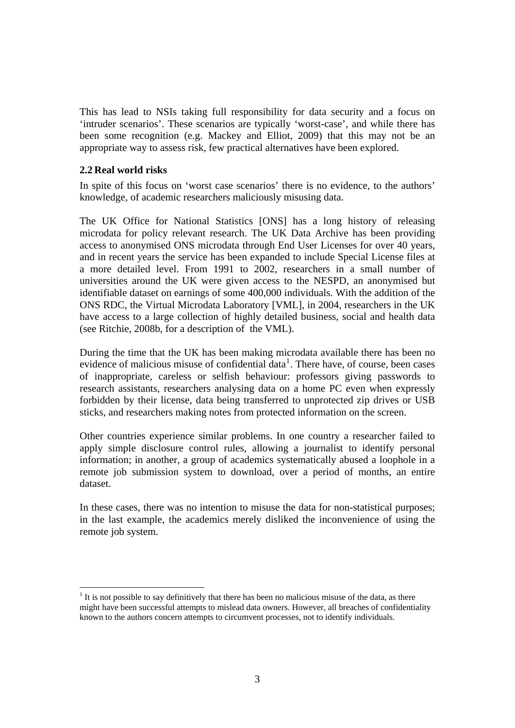This has lead to NSIs taking full responsibility for data security and a focus on 'intruder scenarios'. These scenarios are typically 'worst-case', and while there has been some recognition (e.g. Mackey and Elliot, 2009) that this may not be an appropriate way to assess risk, few practical alternatives have been explored.

#### **2.2 Real world risks**

 $\overline{a}$ 

In spite of this focus on 'worst case scenarios' there is no evidence, to the authors' knowledge, of academic researchers maliciously misusing data.

The UK Office for National Statistics [ONS] has a long history of releasing microdata for policy relevant research. The UK Data Archive has been providing access to anonymised ONS microdata through End User Licenses for over 40 years, and in recent years the service has been expanded to include Special License files at a more detailed level. From 1991 to 2002, researchers in a small number of universities around the UK were given access to the NESPD, an anonymised but identifiable dataset on earnings of some 400,000 individuals. With the addition of the ONS RDC, the Virtual Microdata Laboratory [VML], in 2004, researchers in the UK have access to a large collection of highly detailed business, social and health data (see Ritchie, 2008b, for a description of the VML).

During the time that the UK has been making microdata available there has been no evidence of malicious misuse of confidential data<sup>[1](#page-3-0)</sup>. There have, of course, been cases of inappropriate, careless or selfish behaviour: professors giving passwords to research assistants, researchers analysing data on a home PC even when expressly forbidden by their license, data being transferred to unprotected zip drives or USB sticks, and researchers making notes from protected information on the screen.

Other countries experience similar problems. In one country a researcher failed to apply simple disclosure control rules, allowing a journalist to identify personal information; in another, a group of academics systematically abused a loophole in a remote job submission system to download, over a period of months, an entire dataset.

In these cases, there was no intention to misuse the data for non-statistical purposes; in the last example, the academics merely disliked the inconvenience of using the remote job system.

<span id="page-3-0"></span> $<sup>1</sup>$  It is not possible to say definitively that there has been no malicious misuse of the data, as there</sup> might have been successful attempts to mislead data owners. However, all breaches of confidentiality known to the authors concern attempts to circumvent processes, not to identify individuals.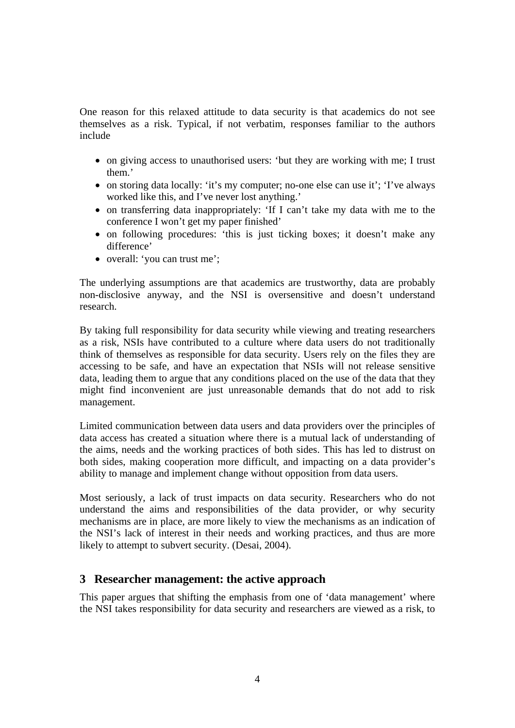One reason for this relaxed attitude to data security is that academics do not see themselves as a risk. Typical, if not verbatim, responses familiar to the authors include

- on giving access to unauthorised users: 'but they are working with me; I trust them.'
- on storing data locally: 'it's my computer; no-one else can use it'; 'I've always worked like this, and I've never lost anything.'
- on transferring data inappropriately: 'If I can't take my data with me to the conference I won't get my paper finished'
- on following procedures: 'this is just ticking boxes; it doesn't make any difference'
- overall: 'you can trust me';

The underlying assumptions are that academics are trustworthy, data are probably non-disclosive anyway, and the NSI is oversensitive and doesn't understand research.

By taking full responsibility for data security while viewing and treating researchers as a risk, NSIs have contributed to a culture where data users do not traditionally think of themselves as responsible for data security. Users rely on the files they are accessing to be safe, and have an expectation that NSIs will not release sensitive data, leading them to argue that any conditions placed on the use of the data that they might find inconvenient are just unreasonable demands that do not add to risk management.

Limited communication between data users and data providers over the principles of data access has created a situation where there is a mutual lack of understanding of the aims, needs and the working practices of both sides. This has led to distrust on both sides, making cooperation more difficult, and impacting on a data provider's ability to manage and implement change without opposition from data users.

Most seriously, a lack of trust impacts on data security. Researchers who do not understand the aims and responsibilities of the data provider, or why security mechanisms are in place, are more likely to view the mechanisms as an indication of the NSI's lack of interest in their needs and working practices, and thus are more likely to attempt to subvert security. (Desai, 2004).

### **3 Researcher management: the active approach**

This paper argues that shifting the emphasis from one of 'data management' where the NSI takes responsibility for data security and researchers are viewed as a risk, to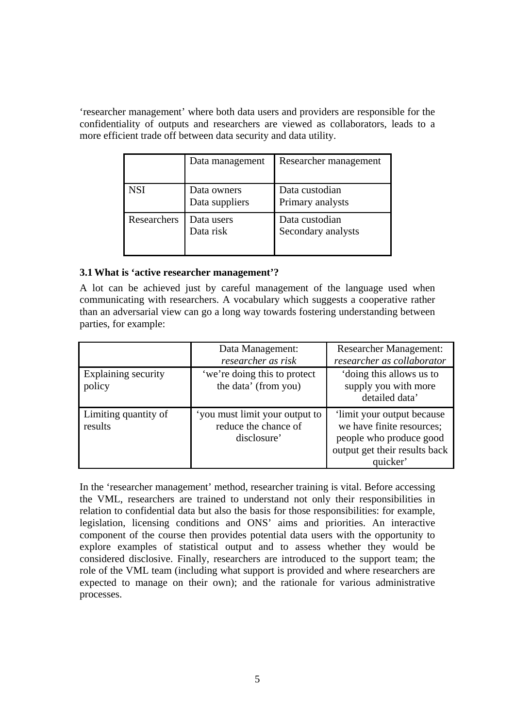'researcher management' where both data users and providers are responsible for the confidentiality of outputs and researchers are viewed as collaborators, leads to a more efficient trade off between data security and data utility.

|             | Data management               | Researcher management                |
|-------------|-------------------------------|--------------------------------------|
| <b>NSI</b>  | Data owners<br>Data suppliers | Data custodian<br>Primary analysts   |
| Researchers | Data users<br>Data risk       | Data custodian<br>Secondary analysts |

### **3.1What is 'active researcher management'?**

A lot can be achieved just by careful management of the language used when communicating with researchers. A vocabulary which suggests a cooperative rather than an adversarial view can go a long way towards fostering understanding between parties, for example:

|                                 | Data Management:<br>researcher as risk                                | <b>Researcher Management:</b><br>researcher as collaborator                                                                     |
|---------------------------------|-----------------------------------------------------------------------|---------------------------------------------------------------------------------------------------------------------------------|
| Explaining security<br>policy   | 'we're doing this to protect<br>the data' (from you)                  | 'doing this allows us to<br>supply you with more<br>detailed data'                                                              |
| Limiting quantity of<br>results | 'you must limit your output to<br>reduce the chance of<br>disclosure' | 'limit your output because<br>we have finite resources;<br>people who produce good<br>output get their results back<br>quicker' |

In the 'researcher management' method, researcher training is vital. Before accessing the VML, researchers are trained to understand not only their responsibilities in relation to confidential data but also the basis for those responsibilities: for example, legislation, licensing conditions and ONS' aims and priorities. An interactive component of the course then provides potential data users with the opportunity to explore examples of statistical output and to assess whether they would be considered disclosive. Finally, researchers are introduced to the support team; the role of the VML team (including what support is provided and where researchers are expected to manage on their own); and the rationale for various administrative processes.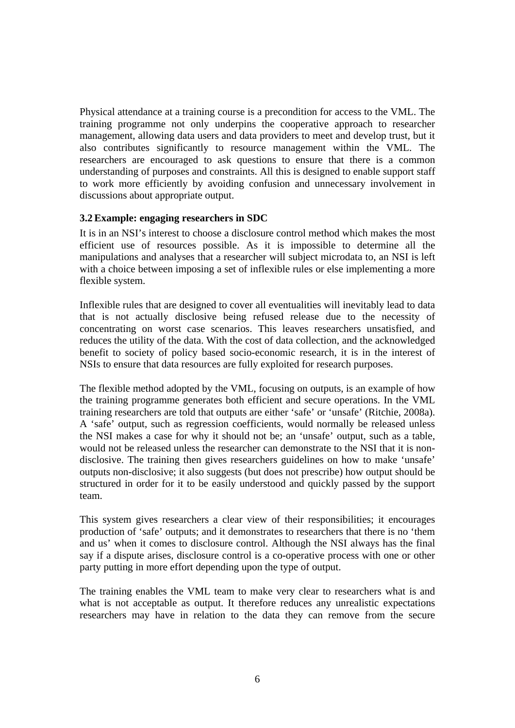Physical attendance at a training course is a precondition for access to the VML. The training programme not only underpins the cooperative approach to researcher management, allowing data users and data providers to meet and develop trust, but it also contributes significantly to resource management within the VML. The researchers are encouraged to ask questions to ensure that there is a common understanding of purposes and constraints. All this is designed to enable support staff to work more efficiently by avoiding confusion and unnecessary involvement in discussions about appropriate output.

#### **3.2Example: engaging researchers in SDC**

It is in an NSI's interest to choose a disclosure control method which makes the most efficient use of resources possible. As it is impossible to determine all the manipulations and analyses that a researcher will subject microdata to, an NSI is left with a choice between imposing a set of inflexible rules or else implementing a more flexible system.

Inflexible rules that are designed to cover all eventualities will inevitably lead to data that is not actually disclosive being refused release due to the necessity of concentrating on worst case scenarios. This leaves researchers unsatisfied, and reduces the utility of the data. With the cost of data collection, and the acknowledged benefit to society of policy based socio-economic research, it is in the interest of NSIs to ensure that data resources are fully exploited for research purposes.

The flexible method adopted by the VML, focusing on outputs, is an example of how the training programme generates both efficient and secure operations. In the VML training researchers are told that outputs are either 'safe' or 'unsafe' (Ritchie, 2008a). A 'safe' output, such as regression coefficients, would normally be released unless the NSI makes a case for why it should not be; an 'unsafe' output, such as a table, would not be released unless the researcher can demonstrate to the NSI that it is nondisclosive. The training then gives researchers guidelines on how to make 'unsafe' outputs non-disclosive; it also suggests (but does not prescribe) how output should be structured in order for it to be easily understood and quickly passed by the support team.

This system gives researchers a clear view of their responsibilities; it encourages production of 'safe' outputs; and it demonstrates to researchers that there is no 'them and us' when it comes to disclosure control. Although the NSI always has the final say if a dispute arises, disclosure control is a co-operative process with one or other party putting in more effort depending upon the type of output.

The training enables the VML team to make very clear to researchers what is and what is not acceptable as output. It therefore reduces any unrealistic expectations researchers may have in relation to the data they can remove from the secure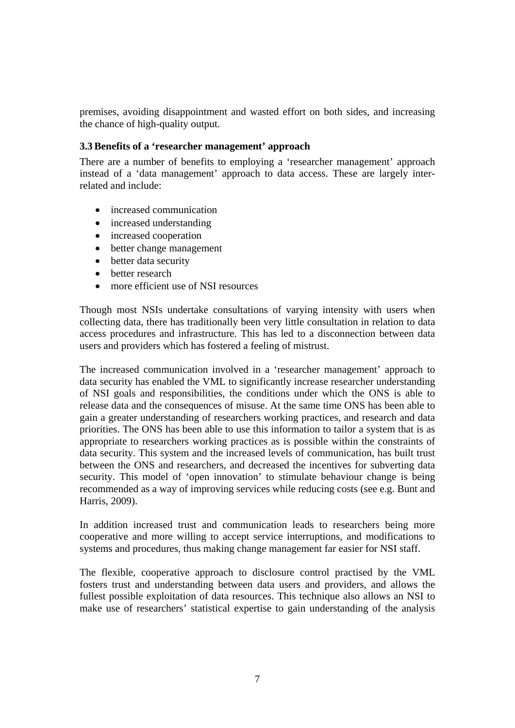premises, avoiding disappointment and wasted effort on both sides, and increasing the chance of high-quality output.

### **3.3Benefits of a 'researcher management' approach**

There are a number of benefits to employing a 'researcher management' approach instead of a 'data management' approach to data access. These are largely interrelated and include:

- increased communication
- increased understanding
- increased cooperation
- better change management
- better data security
- better research
- more efficient use of NSI resources

Though most NSIs undertake consultations of varying intensity with users when collecting data, there has traditionally been very little consultation in relation to data access procedures and infrastructure. This has led to a disconnection between data users and providers which has fostered a feeling of mistrust.

The increased communication involved in a 'researcher management' approach to data security has enabled the VML to significantly increase researcher understanding of NSI goals and responsibilities, the conditions under which the ONS is able to release data and the consequences of misuse. At the same time ONS has been able to gain a greater understanding of researchers working practices, and research and data priorities. The ONS has been able to use this information to tailor a system that is as appropriate to researchers working practices as is possible within the constraints of data security. This system and the increased levels of communication, has built trust between the ONS and researchers, and decreased the incentives for subverting data security. This model of 'open innovation' to stimulate behaviour change is being recommended as a way of improving services while reducing costs (see e.g. Bunt and Harris, 2009).

In addition increased trust and communication leads to researchers being more cooperative and more willing to accept service interruptions, and modifications to systems and procedures, thus making change management far easier for NSI staff.

The flexible, cooperative approach to disclosure control practised by the VML fosters trust and understanding between data users and providers, and allows the fullest possible exploitation of data resources. This technique also allows an NSI to make use of researchers' statistical expertise to gain understanding of the analysis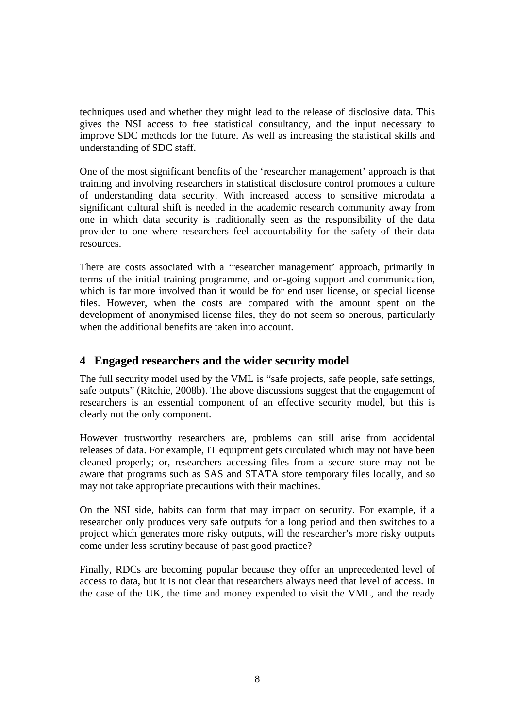techniques used and whether they might lead to the release of disclosive data. This gives the NSI access to free statistical consultancy, and the input necessary to improve SDC methods for the future. As well as increasing the statistical skills and understanding of SDC staff.

One of the most significant benefits of the 'researcher management' approach is that training and involving researchers in statistical disclosure control promotes a culture of understanding data security. With increased access to sensitive microdata a significant cultural shift is needed in the academic research community away from one in which data security is traditionally seen as the responsibility of the data provider to one where researchers feel accountability for the safety of their data resources.

There are costs associated with a 'researcher management' approach, primarily in terms of the initial training programme, and on-going support and communication, which is far more involved than it would be for end user license, or special license files. However, when the costs are compared with the amount spent on the development of anonymised license files, they do not seem so onerous, particularly when the additional benefits are taken into account.

# **4 Engaged researchers and the wider security model**

The full security model used by the VML is "safe projects, safe people, safe settings, safe outputs" (Ritchie, 2008b). The above discussions suggest that the engagement of researchers is an essential component of an effective security model, but this is clearly not the only component.

However trustworthy researchers are, problems can still arise from accidental releases of data. For example, IT equipment gets circulated which may not have been cleaned properly; or, researchers accessing files from a secure store may not be aware that programs such as SAS and STATA store temporary files locally, and so may not take appropriate precautions with their machines.

On the NSI side, habits can form that may impact on security. For example, if a researcher only produces very safe outputs for a long period and then switches to a project which generates more risky outputs, will the researcher's more risky outputs come under less scrutiny because of past good practice?

Finally, RDCs are becoming popular because they offer an unprecedented level of access to data, but it is not clear that researchers always need that level of access. In the case of the UK, the time and money expended to visit the VML, and the ready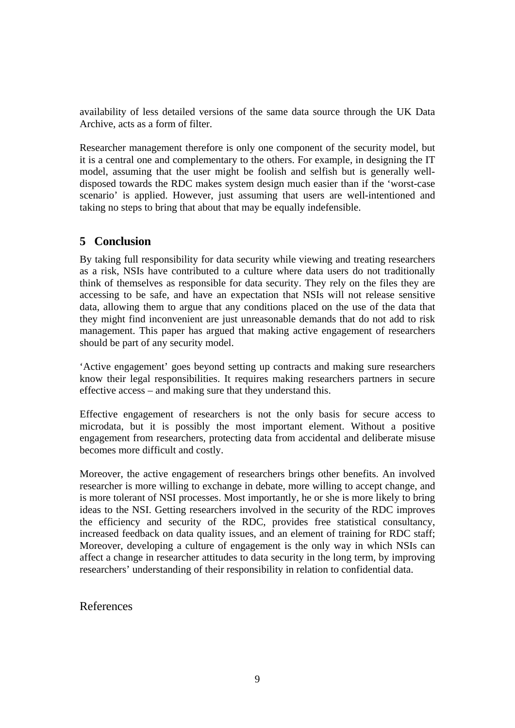availability of less detailed versions of the same data source through the UK Data Archive, acts as a form of filter.

Researcher management therefore is only one component of the security model, but it is a central one and complementary to the others. For example, in designing the IT model, assuming that the user might be foolish and selfish but is generally welldisposed towards the RDC makes system design much easier than if the 'worst-case scenario' is applied. However, just assuming that users are well-intentioned and taking no steps to bring that about that may be equally indefensible.

# **5 Conclusion**

By taking full responsibility for data security while viewing and treating researchers as a risk, NSIs have contributed to a culture where data users do not traditionally think of themselves as responsible for data security. They rely on the files they are accessing to be safe, and have an expectation that NSIs will not release sensitive data, allowing them to argue that any conditions placed on the use of the data that they might find inconvenient are just unreasonable demands that do not add to risk management. This paper has argued that making active engagement of researchers should be part of any security model.

'Active engagement' goes beyond setting up contracts and making sure researchers know their legal responsibilities. It requires making researchers partners in secure effective access – and making sure that they understand this.

Effective engagement of researchers is not the only basis for secure access to microdata, but it is possibly the most important element. Without a positive engagement from researchers, protecting data from accidental and deliberate misuse becomes more difficult and costly.

Moreover, the active engagement of researchers brings other benefits. An involved researcher is more willing to exchange in debate, more willing to accept change, and is more tolerant of NSI processes. Most importantly, he or she is more likely to bring ideas to the NSI. Getting researchers involved in the security of the RDC improves the efficiency and security of the RDC, provides free statistical consultancy, increased feedback on data quality issues, and an element of training for RDC staff; Moreover, developing a culture of engagement is the only way in which NSIs can affect a change in researcher attitudes to data security in the long term, by improving researchers' understanding of their responsibility in relation to confidential data.

# References